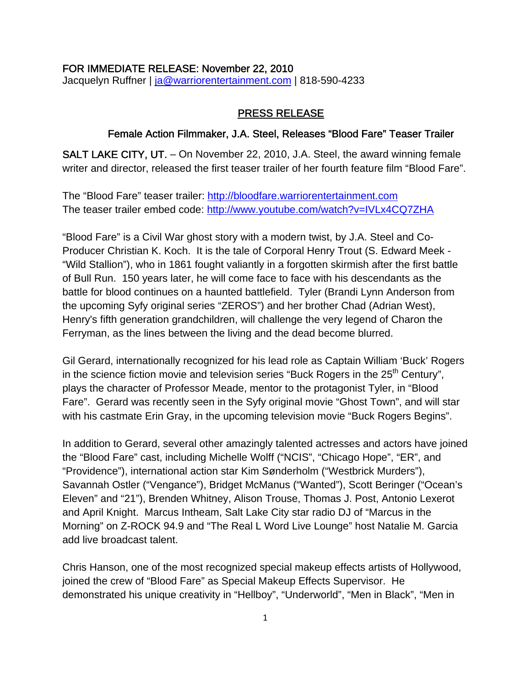#### FOR IMMEDIATE RELEASE: November 22, 2010

Jacquelyn Ruffner | [ja@warriorentertainment.com](mailto:ja@warriorentertainment.com) | 818-590-4233

#### PRESS RELEASE

### Female Action Filmmaker, J.A. Steel, Releases "Blood Fare" Teaser Trailer

SALT LAKE CITY, UT. – On November 22, 2010, J.A. Steel, the award winning female writer and director, released the first teaser trailer of her fourth feature film "Blood Fare".

The "Blood Fare" teaser trailer: [http://bloodfare.warriorentertainment.com](http://bloodfare.warriorentertainment.com/) The teaser trailer embed code: <http://www.youtube.com/watch?v=IVLx4CQ7ZHA>

"Blood Fare" is a Civil War ghost story with a modern twist, by J.A. Steel and Co-Producer Christian K. Koch. It is the tale of Corporal Henry Trout (S. Edward Meek - "Wild Stallion"), who in 1861 fought valiantly in a forgotten skirmish after the first battle of Bull Run. 150 years later, he will come face to face with his descendants as the battle for blood continues on a haunted battlefield. Tyler (Brandi Lynn Anderson from the upcoming Syfy original series "ZEROS") and her brother Chad (Adrian West), Henry's fifth generation grandchildren, will challenge the very legend of Charon the Ferryman, as the lines between the living and the dead become blurred.

Gil Gerard, internationally recognized for his lead role as Captain William 'Buck' Rogers in the science fiction movie and television series "Buck Rogers in the  $25<sup>th</sup>$  Century", plays the character of Professor Meade, mentor to the protagonist Tyler, in "Blood Fare". Gerard was recently seen in the Syfy original movie "Ghost Town", and will star with his castmate Erin Gray, in the upcoming television movie "Buck Rogers Begins".

In addition to Gerard, several other amazingly talented actresses and actors have joined the "Blood Fare" cast, including Michelle Wolff ("NCIS", "Chicago Hope", "ER", and "Providence"), international action star Kim Sønderholm ("Westbrick Murders"), Savannah Ostler ("Vengance"), Bridget McManus ("Wanted"), Scott Beringer ("Ocean's Eleven" and "21"), Brenden Whitney, Alison Trouse, Thomas J. Post, Antonio Lexerot and April Knight. Marcus Intheam, Salt Lake City star radio DJ of "Marcus in the Morning" on Z-ROCK 94.9 and "The Real L Word Live Lounge" host Natalie M. Garcia add live broadcast talent.

Chris Hanson, one of the most recognized special makeup effects artists of Hollywood, joined the crew of "Blood Fare" as Special Makeup Effects Supervisor. He demonstrated his unique creativity in "Hellboy", "Underworld", "Men in Black", "Men in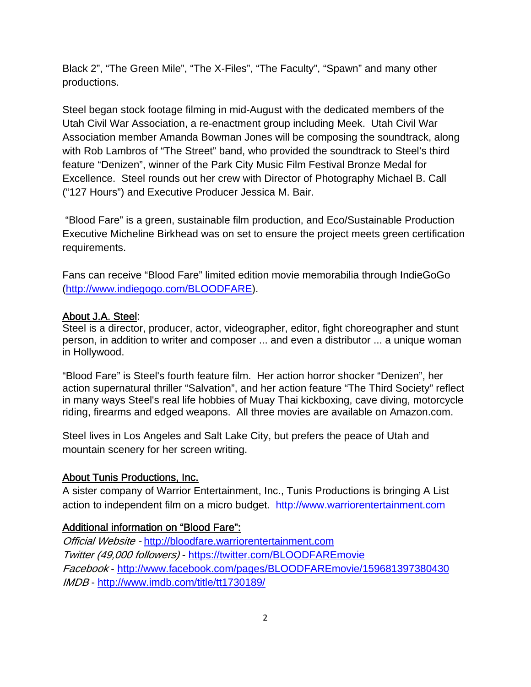Black 2", "The Green Mile", "The X-Files", "The Faculty", "Spawn" and many other productions.

Steel began stock footage filming in mid-August with the dedicated members of the Utah Civil War Association, a re-enactment group including Meek. Utah Civil War Association member Amanda Bowman Jones will be composing the soundtrack, along with Rob Lambros of "The Street" band, who provided the soundtrack to Steel's third feature "Denizen", winner of the Park City Music Film Festival Bronze Medal for Excellence. Steel rounds out her crew with Director of Photography Michael B. Call ("127 Hours") and Executive Producer Jessica M. Bair.

 "Blood Fare" is a green, sustainable film production, and Eco/Sustainable Production Executive Micheline Birkhead was on set to ensure the project meets green certification requirements.

Fans can receive "Blood Fare" limited edition movie memorabilia through IndieGoGo ([http://www.indiegogo.com/BLOODFARE\)](http://www.indiegogo.com/BLOODFARE).

### About J.A. Steel:

Steel is a director, producer, actor, videographer, editor, fight choreographer and stunt person, in addition to writer and composer ... and even a distributor ... a unique woman in Hollywood.

"Blood Fare" is Steel's fourth feature film. Her action horror shocker "Denizen", her action supernatural thriller "Salvation", and her action feature "The Third Society" reflect in many ways Steel's real life hobbies of Muay Thai kickboxing, cave diving, motorcycle riding, firearms and edged weapons. All three movies are available on Amazon.com.

Steel lives in Los Angeles and Salt Lake City, but prefers the peace of Utah and mountain scenery for her screen writing.

## About Tunis Productions, Inc.

A sister company of Warrior Entertainment, Inc., Tunis Productions is bringing A List action to independent film on a micro budget. [http://www.warriorentertainment.com](http://www.warriorentertainment.com/)

## Additional information on "Blood Fare":

Official Website - [http://bloodfare.warriorentertainment.com](http://bloodfare.warriorentertainment.com/) Twitter (49,000 followers) -<https://twitter.com/BLOODFAREmovie> Facebook -<http://www.facebook.com/pages/BLOODFAREmovie/159681397380430> IMDB - <http://www.imdb.com/title/tt1730189/>